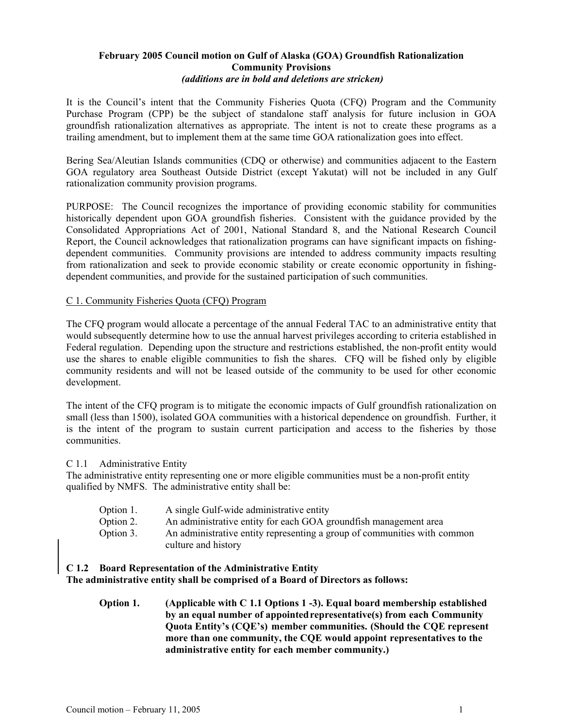## February 2005 Council motion on Gulf of Alaska (GOA) Groundfish Rationalization Community Provisions *(additions are in bold and deletions are stricken)*

It is the Council's intent that the Community Fisheries Quota (CFQ) Program and the Community Purchase Program (CPP) be the subject of standalone staff analysis for future inclusion in GOA groundfish rationalization alternatives as appropriate. The intent is not to create these programs as a trailing amendment, but to implement them at the same time GOA rationalization goes into effect.

Bering Sea/Aleutian Islands communities (CDQ or otherwise) and communities adjacent to the Eastern GOA regulatory area Southeast Outside District (except Yakutat) will not be included in any Gulf rationalization community provision programs.

PURPOSE: The Council recognizes the importance of providing economic stability for communities historically dependent upon GOA groundfish fisheries. Consistent with the guidance provided by the Consolidated Appropriations Act of 2001, National Standard 8, and the National Research Council Report, the Council acknowledges that rationalization programs can have significant impacts on fishingdependent communities. Community provisions are intended to address community impacts resulting from rationalization and seek to provide economic stability or create economic opportunity in fishingdependent communities, and provide for the sustained participation of such communities.

## C 1. Community Fisheries Quota (CFQ) Program

The CFQ program would allocate a percentage of the annual Federal TAC to an administrative entity that would subsequently determine how to use the annual harvest privileges according to criteria established in Federal regulation. Depending upon the structure and restrictions established, the non-profit entity would use the shares to enable eligible communities to fish the shares. CFQ will be fished only by eligible community residents and will not be leased outside of the community to be used for other economic development.

The intent of the CFQ program is to mitigate the economic impacts of Gulf groundfish rationalization on small (less than 1500), isolated GOA communities with a historical dependence on groundfish. Further, it is the intent of the program to sustain current participation and access to the fisheries by those communities.

#### C 1.1 Administrative Entity

The administrative entity representing one or more eligible communities must be a non-profit entity qualified by NMFS. The administrative entity shall be:

- Option 1. A single Gulf-wide administrative entity
- Option 2. An administrative entity for each GOA groundfish management area
- Option 3. An administrative entity representing a group of communities with common culture and history

# C 1.2 Board Representation of the Administrative Entity

The administrative entity shall be comprised of a Board of Directors as follows:

Option 1. (Applicable with C 1.1 Options 1 -3). Equal board membership established by an equal number of appointed representative(s) from each Community Quota Entity's (CQE's) member communities. (Should the CQE represent more than one community, the CQE would appoint representatives to the administrative entity for each member community.)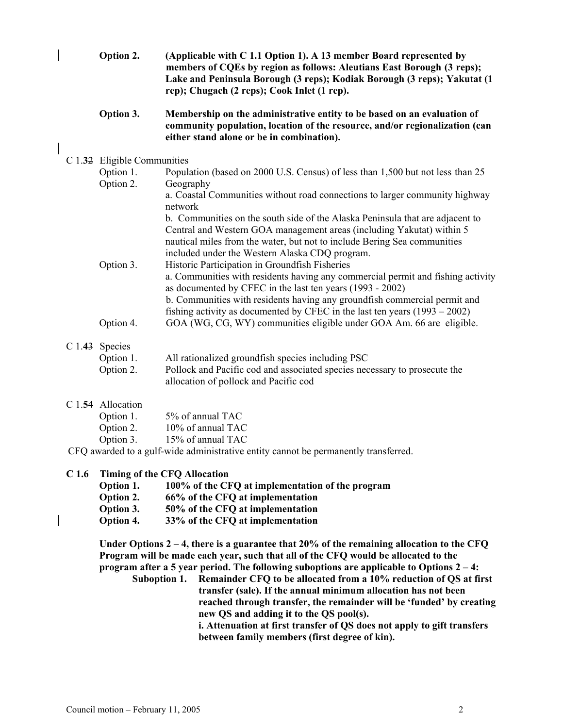| Option 2. | (Applicable with C 1.1 Option 1). A 13 member Board represented by       |
|-----------|--------------------------------------------------------------------------|
|           | members of CQEs by region as follows: Aleutians East Borough (3 reps);   |
|           | Lake and Peninsula Borough (3 reps); Kodiak Borough (3 reps); Yakutat (1 |
|           | rep); Chugach (2 reps); Cook Inlet (1 rep).                              |

#### Option 3. Membership on the administrative entity to be based on an evaluation of community population, location of the resource, and/or regionalization (can either stand alone or be in combination).

## C 1.32 Eligible Communities

| Option 1. | Population (based on 2000 U.S. Census) of less than 1,500 but not less than 25  |
|-----------|---------------------------------------------------------------------------------|
| Option 2. | Geography                                                                       |
|           | a. Coastal Communities without road connections to larger community highway     |
|           | network                                                                         |
|           | b. Communities on the south side of the Alaska Peninsula that are adjacent to   |
|           | Central and Western GOA management areas (including Yakutat) within 5           |
|           | nautical miles from the water, but not to include Bering Sea communities        |
|           | included under the Western Alaska CDQ program.                                  |
| Option 3. | Historic Participation in Groundfish Fisheries                                  |
|           | a. Communities with residents having any commercial permit and fishing activity |
|           | as documented by CFEC in the last ten years (1993 - 2002)                       |
|           | b. Communities with residents having any groundfish commercial permit and       |
|           | fishing activity as documented by CFEC in the last ten years $(1993 - 2002)$    |
| Option 4. | GOA (WG, CG, WY) communities eligible under GOA Am. 66 are eligible.            |

# C 1.43 Species

| Option 1. | All rationalized groundfish species including PSC                         |
|-----------|---------------------------------------------------------------------------|
| Option 2. | Pollock and Pacific cod and associated species necessary to prosecute the |
|           | allocation of pollock and Pacific cod                                     |

## C 1.54 Allocation

| Option 1. | 5% of annual TAC  |
|-----------|-------------------|
| Option 2. | 10% of annual TAC |
| Option 3. | 15% of annual TAC |
|           | $111$ $1011$      |

CFQ awarded to a gulf-wide administrative entity cannot be permanently transferred.

## C 1.6 Timing of the CFQ Allocation

- Option 1. 100% of the CFQ at implementation of the program
- Option 2. 66% of the CFQ at implementation

Option 3. 50% of the CFQ at implementation

Option 4. 33% of the CFQ at implementation

Under Options  $2 - 4$ , there is a guarantee that 20% of the remaining allocation to the CFQ Program will be made each year, such that all of the CFQ would be allocated to the program after a 5 year period. The following suboptions are applicable to Options  $2-4$ :

Suboption 1. Remainder CFQ to be allocated from a 10% reduction of QS at first transfer (sale). If the annual minimum allocation has not been reached through transfer, the remainder will be 'funded' by creating new QS and adding it to the QS pool(s).

i. Attenuation at first transfer of QS does not apply to gift transfers between family members (first degree of kin).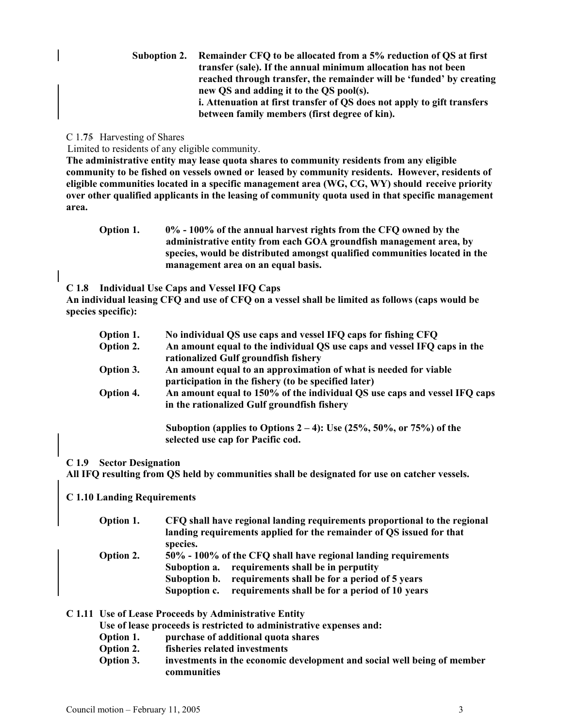| Suboption 2. Remainder CFQ to be allocated from a 5% reduction of QS at first |
|-------------------------------------------------------------------------------|
| transfer (sale). If the annual minimum allocation has not been                |
| reached through transfer, the remainder will be 'funded' by creating          |
| new QS and adding it to the QS pool(s).                                       |
| i. Attenuation at first transfer of QS does not apply to gift transfers       |
| between family members (first degree of kin).                                 |

### C 1.75 Harvesting of Shares

Limited to residents of any eligible community.

The administrative entity may lease quota shares to community residents from any eligible community to be fished on vessels owned or leased by community residents. However, residents of eligible communities located in a specific management area (WG, CG, WY) should receive priority over other qualified applicants in the leasing of community quota used in that specific management area.

Option 1. 0% - 100% of the annual harvest rights from the CFQ owned by the administrative entity from each GOA groundfish management area, by species, would be distributed amongst qualified communities located in the management area on an equal basis.

C 1.8 Individual Use Caps and Vessel IFQ Caps

An individual leasing CFQ and use of CFQ on a vessel shall be limited as follows (caps would be species specific):

| Option 1. | No individual QS use caps and vessel IFQ caps for fishing CFQ                                                            |
|-----------|--------------------------------------------------------------------------------------------------------------------------|
| Option 2. | An amount equal to the individual QS use caps and vessel IFQ caps in the<br>rationalized Gulf groundfish fishery         |
| Option 3. | An amount equal to an approximation of what is needed for viable<br>participation in the fishery (to be specified later) |
| Option 4. | An amount equal to 150% of the individual QS use caps and vessel IFQ caps<br>in the rationalized Gulf groundfish fishery |
|           | Suboption (applies to Options $2-4$ ): Use (25%, 50%, or 75%) of the<br>selected use cap for Pacific cod.                |

#### C 1.9 Sector Designation

All IFQ resulting from QS held by communities shall be designated for use on catcher vessels.

#### C 1.10 Landing Requirements

| Option 1.        | CFQ shall have regional landing requirements proportional to the regional<br>landing requirements applied for the remainder of QS issued for that<br>species.                                                                                        |
|------------------|------------------------------------------------------------------------------------------------------------------------------------------------------------------------------------------------------------------------------------------------------|
| <b>Option 2.</b> | 50% - 100% of the CFQ shall have regional landing requirements<br>Suboption a. requirements shall be in perputity<br>requirements shall be for a period of 5 years<br>Suboption b.<br>requirements shall be for a period of 10 years<br>Supoption c. |

#### C 1.11 Use of Lease Proceeds by Administrative Entity

Use of lease proceeds is restricted to administrative expenses and:

- Option 1. purchase of additional quota shares
- Option 2. fisheries related investments
- Option 3. investments in the economic development and social well being of member communities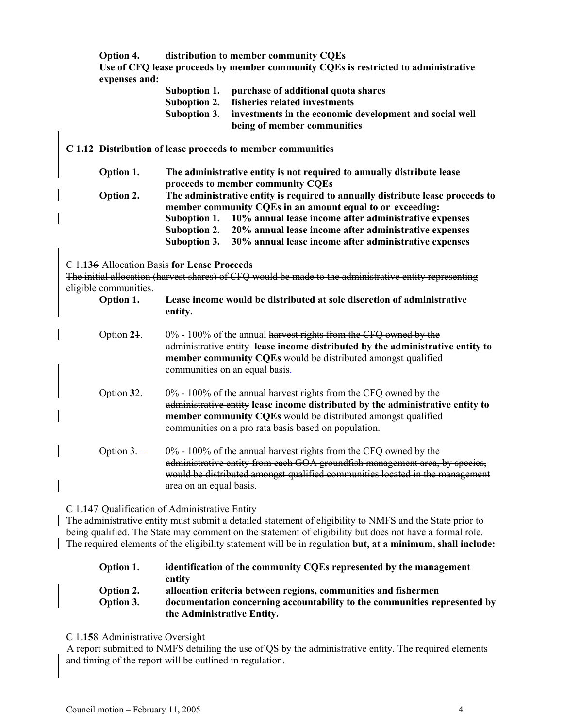Option 4. distribution to member community CQEs Use of CFQ lease proceeds by member community CQEs is restricted to administrative expenses and:

| Suboption 1. | purchase of additional quota shares                     |
|--------------|---------------------------------------------------------|
| Suboption 2. | fisheries related investments                           |
| Suboption 3. | investments in the economic development and social well |
|              | being of member communities                             |

C 1.12 Distribution of lease proceeds to member communities

| Option 1. | The administrative entity is not required to annually distribute lease         |
|-----------|--------------------------------------------------------------------------------|
|           | proceeds to member community CQEs                                              |
| Option 2. | The administrative entity is required to annually distribute lease proceeds to |
|           | member community CQEs in an amount equal to or exceeding:                      |
|           | Suboption 1. 10% annual lease income after administrative expenses             |
|           | Suboption 2. 20% annual lease income after administrative expenses             |
|           | Suboption 3. 30% annual lease income after administrative expenses             |
|           |                                                                                |

C 1.136 Allocation Basis for Lease Proceeds

The initial allocation (harvest shares) of CFQ would be made to the administrative entity representing eligible communities.

- Option 1. Lease income would be distributed at sole discretion of administrative entity.
- Option  $24.$  0% 100% of the annual harvest rights from the CFO owned by the administrative entity lease income distributed by the administrative entity to member community CQEs would be distributed amongst qualified communities on an equal basis.
- Option  $32.$  0% 100% of the annual harvest rights from the CFQ owned by the administrative entity lease income distributed by the administrative entity to member community CQEs would be distributed amongst qualified communities on a pro rata basis based on population.
- Option 3.  $\sim 0\%$  100% of the annual harvest rights from the CFQ owned by the administrative entity from each GOA groundfish management area, by species, would be distributed amongst qualified communities located in the management area on an equal basis.

C 1.147 Qualification of Administrative Entity

The administrative entity must submit a detailed statement of eligibility to NMFS and the State prior to being qualified. The State may comment on the statement of eligibility but does not have a formal role. The required elements of the eligibility statement will be in regulation but, at a minimum, shall include:

| Option 1. | identification of the community CQEs represented by the management        |
|-----------|---------------------------------------------------------------------------|
|           | entity                                                                    |
| Option 2. | allocation criteria between regions, communities and fishermen            |
| Option 3. | documentation concerning accountability to the communities represented by |
|           | the Administrative Entity.                                                |
|           |                                                                           |

C 1.158 Administrative Oversight

A report submitted to NMFS detailing the use of QS by the administrative entity. The required elements and timing of the report will be outlined in regulation.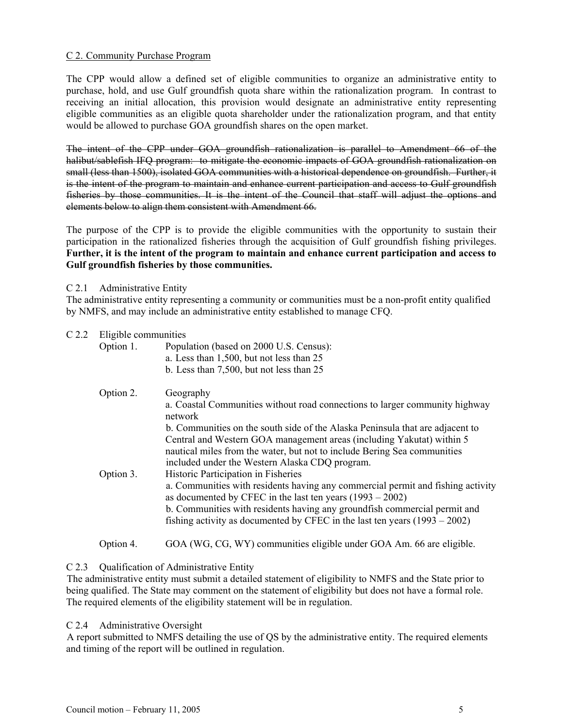#### C 2. Community Purchase Program

The CPP would allow a defined set of eligible communities to organize an administrative entity to purchase, hold, and use Gulf groundfish quota share within the rationalization program. In contrast to receiving an initial allocation, this provision would designate an administrative entity representing eligible communities as an eligible quota shareholder under the rationalization program, and that entity would be allowed to purchase GOA groundfish shares on the open market.

The intent of the CPP under GOA groundfish rationalization is parallel to Amendment 66 of the halibut/sablefish IFO program: to mitigate the economic impacts of GOA groundfish rationalization on small (less than 1500), isolated GOA communities with a historical dependence on groundfish. Further, it is the intent of the program to maintain and enhance current participation and access to Gulf groundfish fisheries by those communities. It is the intent of the Council that staff will adjust the options and elements below to align them consistent with Amendment 66.

The purpose of the CPP is to provide the eligible communities with the opportunity to sustain their participation in the rationalized fisheries through the acquisition of Gulf groundfish fishing privileges. Further, it is the intent of the program to maintain and enhance current participation and access to Gulf groundfish fisheries by those communities.

## C 2.1 Administrative Entity

The administrative entity representing a community or communities must be a non-profit entity qualified by NMFS, and may include an administrative entity established to manage CFQ.

#### C 2.2 Eligible communities

| Option 1. | Population (based on 2000 U.S. Census):<br>a. Less than 1,500, but not less than 25<br>b. Less than 7,500, but not less than 25                                                                                                                                                                                                                                                                                                                                                                                                                                                                                                            |
|-----------|--------------------------------------------------------------------------------------------------------------------------------------------------------------------------------------------------------------------------------------------------------------------------------------------------------------------------------------------------------------------------------------------------------------------------------------------------------------------------------------------------------------------------------------------------------------------------------------------------------------------------------------------|
| Option 2. | Geography<br>a. Coastal Communities without road connections to larger community highway<br>network                                                                                                                                                                                                                                                                                                                                                                                                                                                                                                                                        |
| Option 3. | b. Communities on the south side of the Alaska Peninsula that are adjacent to<br>Central and Western GOA management areas (including Yakutat) within 5<br>nautical miles from the water, but not to include Bering Sea communities<br>included under the Western Alaska CDQ program.<br>Historic Participation in Fisheries<br>a. Communities with residents having any commercial permit and fishing activity<br>as documented by CFEC in the last ten years $(1993 - 2002)$<br>b. Communities with residents having any groundfish commercial permit and<br>fishing activity as documented by CFEC in the last ten years $(1993 - 2002)$ |
| Option 4. | GOA (WG, CG, WY) communities eligible under GOA Am. 66 are eligible.                                                                                                                                                                                                                                                                                                                                                                                                                                                                                                                                                                       |

## C 2.3 Oualification of Administrative Entity

The administrative entity must submit a detailed statement of eligibility to NMFS and the State prior to being qualified. The State may comment on the statement of eligibility but does not have a formal role. The required elements of the eligibility statement will be in regulation.

#### C 2.4 Administrative Oversight

A report submitted to NMFS detailing the use of QS by the administrative entity. The required elements and timing of the report will be outlined in regulation.